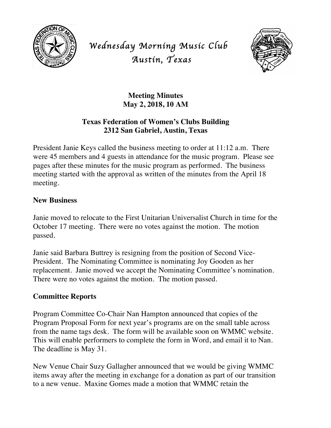

*Wednesday Morning Music Club Austin, Texas* 



## **Meeting Minutes May 2, 2018, 10 AM**

# **Texas Federation of Women's Clubs Building 2312 San Gabriel, Austin, Texas**

President Janie Keys called the business meeting to order at 11:12 a.m. There were 45 members and 4 guests in attendance for the music program. Please see pages after these minutes for the music program as performed. The business meeting started with the approval as written of the minutes from the April 18 meeting.

### **New Business**

Janie moved to relocate to the First Unitarian Universalist Church in time for the October 17 meeting. There were no votes against the motion. The motion passed.

Janie said Barbara Buttrey is resigning from the position of Second Vice-President. The Nominating Committee is nominating Joy Gooden as her replacement. Janie moved we accept the Nominating Committee's nomination. There were no votes against the motion. The motion passed.

# **Committee Reports**

Program Committee Co-Chair Nan Hampton announced that copies of the Program Proposal Form for next year's programs are on the small table across from the name tags desk. The form will be available soon on WMMC website. This will enable performers to complete the form in Word, and email it to Nan. The deadline is May 31.

New Venue Chair Suzy Gallagher announced that we would be giving WMMC items away after the meeting in exchange for a donation as part of our transition to a new venue. Maxine Gomes made a motion that WMMC retain the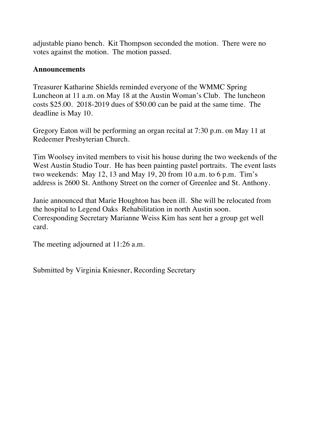adjustable piano bench. Kit Thompson seconded the motion. There were no votes against the motion. The motion passed.

#### **Announcements**

Treasurer Katharine Shields reminded everyone of the WMMC Spring Luncheon at 11 a.m. on May 18 at the Austin Woman's Club. The luncheon costs \$25.00. 2018-2019 dues of \$50.00 can be paid at the same time. The deadline is May 10.

Gregory Eaton will be performing an organ recital at 7:30 p.m. on May 11 at Redeemer Presbyterian Church.

Tim Woolsey invited members to visit his house during the two weekends of the West Austin Studio Tour. He has been painting pastel portraits. The event lasts two weekends: May 12, 13 and May 19, 20 from 10 a.m. to 6 p.m. Tim's address is 2600 St. Anthony Street on the corner of Greenlee and St. Anthony.

Janie announced that Marie Houghton has been ill. She will be relocated from the hospital to Legend Oaks Rehabilitation in north Austin soon. Corresponding Secretary Marianne Weiss Kim has sent her a group get well card.

The meeting adjourned at 11:26 a.m.

Submitted by Virginia Kniesner, Recording Secretary